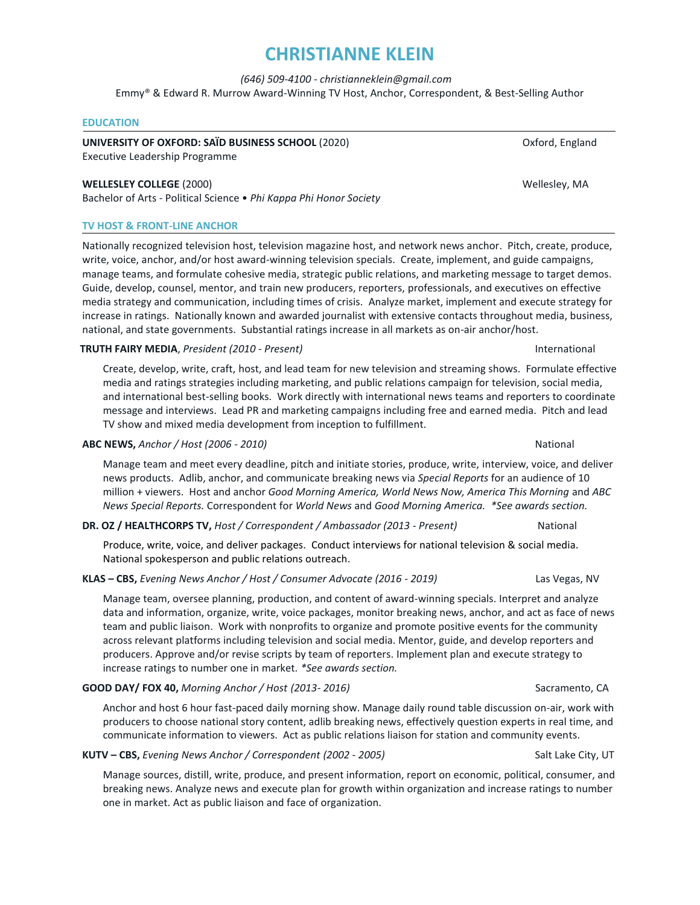# **CHRISTIANNE KLEIN**

 *(646) 509-4100 - christianneklein@gmail.com* 

Emmy® & Edward R. Murrow Award-Winning TV Host, Anchor, Correspondent, & Best-Selling Author

#### **EDUCATION**

**UNIVERSITY OF OXFORD: SAÏD BUSINESS SCHOOL** (2020) Oxford, England

Executive Leadership Programme

#### **WELLESLEY COLLEGE** (2000) Wellesley, MA

Bachelor of Arts - Political Science • *Phi Kappa Phi Honor Society* 

#### **TV HOST & FRONT-LINE ANCHOR**

Nationally recognized television host, television magazine host, and network news anchor. Pitch, create, produce, write, voice, anchor, and/or host award-winning television specials. Create, implement, and guide campaigns, manage teams, and formulate cohesive media, strategic public relations, and marketing message to target demos. Guide, develop, counsel, mentor, and train new producers, reporters, professionals, and executives on effective media strategy and communication, including times of crisis. Analyze market, implement and execute strategy for increase in ratings. Nationally known and awarded journalist with extensive contacts throughout media, business, national, and state governments. Substantial ratings increase in all markets as on-air anchor/host.

#### **TRUTH FAIRY MEDIA**, *President (2010 - Present)* International

Create, develop, write, craft, host, and lead team for new television and streaming shows. Formulate effective media and ratings strategies including marketing, and public relations campaign for television, social media, and international best-selling books*.* Work directly with international news teams and reporters to coordinate message and interviews. Lead PR and marketing campaigns including free and earned media. Pitch and lead TV show and mixed media development from inception to fulfillment.

#### **ABC NEWS,** *Anchor / Host (2006 - 2010)* National

Manage team and meet every deadline, pitch and initiate stories, produce, write, interview, voice, and deliver news products. Adlib, anchor, and communicate breaking news via *Special Reports* for an audience of 10 million + viewers. Host and anchor *Good Morning America, World News Now, America This Morning* and *ABC News Special Reports.* Correspondent for *World News* and *Good Morning America. \*See awards section.*

#### **DR. OZ / HEALTHCORPS TV,** *Host / Correspondent / Ambassador (2013 - Present)* National

 Produce, write, voice, and deliver packages. Conduct interviews for national television & social media. National spokesperson and public relations outreach.

#### **KLAS – CBS,** *Evening News Anchor / Host / Consumer Advocate (2016 - 2019)* Las Vegas, NV

Manage team, oversee planning, production, and content of award-winning specials. Interpret and analyze data and information, organize, write, voice packages, monitor breaking news, anchor, and act as face of news team and public liaison. Work with nonprofits to organize and promote positive events for the community across relevant platforms including television and social media. Mentor, guide, and develop reporters and producers. Approve and/or revise scripts by team of reporters. Implement plan and execute strategy to increase ratings to number one in market. *\*See awards section.*

#### **GOOD DAY/ FOX 40,** *Morning Anchor / Host (2013- 2016)* Sacramento, CA

Anchor and host 6 hour fast-paced daily morning show. Manage daily round table discussion on-air, work with producers to choose national story content, adlib breaking news, effectively question experts in real time, and communicate information to viewers. Act as public relations liaison for station and community events.

**KUTV – CBS,** *Evening News Anchor / Correspondent (2002 - 2005)* Salt Lake City, UT

Manage sources, distill, write, produce, and present information, report on economic, political, consumer, and breaking news. Analyze news and execute plan for growth within organization and increase ratings to number one in market. Act as public liaison and face of organization.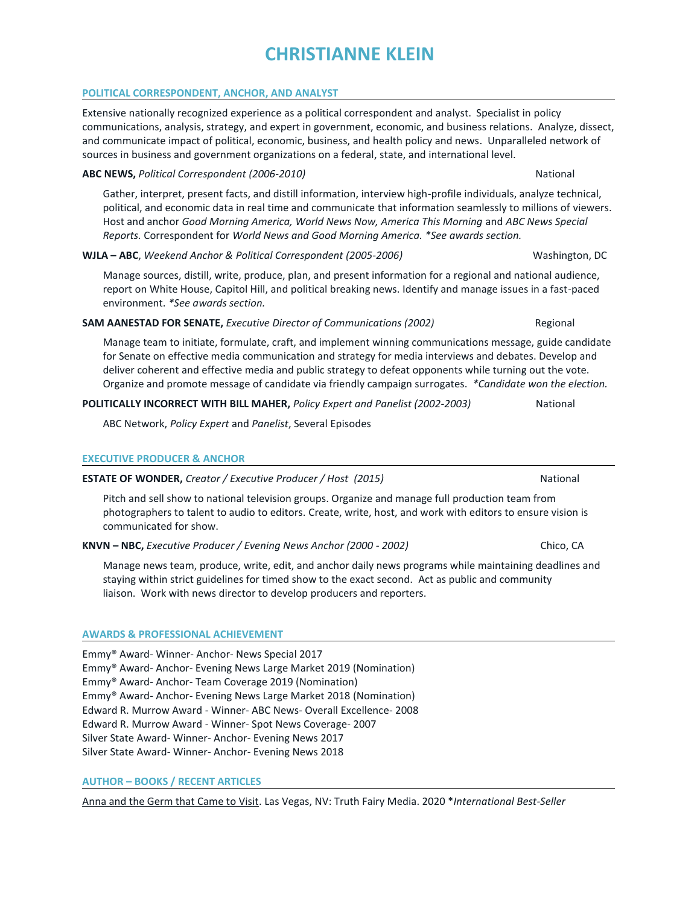# **CHRISTIANNE KLEIN**

#### **POLITICAL CORRESPONDENT, ANCHOR, AND ANALYST**

Extensive nationally recognized experience as a political correspondent and analyst. Specialist in policy communications, analysis, strategy, and expert in government, economic, and business relations. Analyze, dissect, and communicate impact of political, economic, business, and health policy and news. Unparalleled network of sources in business and government organizations on a federal, state, and international level.

#### **ABC NEWS,** *Political Correspondent (2006-2010)* National

Gather, interpret, present facts, and distill information, interview high-profile individuals, analyze technical, political, and economic data in real time and communicate that information seamlessly to millions of viewers. Host and anchor *Good Morning America, World News Now, America This Morning* and *ABC News Special Reports.* Correspondent for *World News and Good Morning America. \*See awards section.*

# **WJLA – ABC**, *Weekend Anchor & Political Correspondent (2005-2006)* Washington, DC

Manage sources, distill, write, produce, plan, and present information for a regional and national audience, report on White House, Capitol Hill, and political breaking news. Identify and manage issues in a fast-paced environment. *\*See awards section.*

#### **SAM AANESTAD FOR SENATE,** *Executive Director of Communications (2002)* Regional

Manage team to initiate, formulate, craft, and implement winning communications message, guide candidate for Senate on effective media communication and strategy for media interviews and debates. Develop and deliver coherent and effective media and public strategy to defeat opponents while turning out the vote. Organize and promote message of candidate via friendly campaign surrogates. *\*Candidate won the election.*

# **POLITICALLY INCORRECT WITH BILL MAHER,** *Policy Expert and Panelist (2002-2003)* National

ABC Network, *Policy Expert* and *Panelist*, Several Episodes

#### **EXECUTIVE PRODUCER & ANCHOR**

**ESTATE OF WONDER,** *Creator / Executive Producer / Host (2015)*National

Pitch and sell show to national television groups. Organize and manage full production team from photographers to talent to audio to editors. Create, write, host, and work with editors to ensure vision is communicated for show.

**KNVN – NBC,** *Executive Producer / Evening News Anchor (2000 - 2002)* Chico, CA

Manage news team, produce, write, edit, and anchor daily news programs while maintaining deadlines and staying within strict guidelines for timed show to the exact second. Act as public and community liaison. Work with news director to develop producers and reporters.

# **AWARDS & PROFESSIONAL ACHIEVEMENT**

Emmy® Award- Winner- Anchor- News Special 2017 Emmy® Award- Anchor- Evening News Large Market 2019 (Nomination) Emmy® Award- Anchor- Team Coverage 2019 (Nomination) Emmy® Award- Anchor- Evening News Large Market 2018 (Nomination) Edward R. Murrow Award - Winner- ABC News- Overall Excellence- 2008 Edward R. Murrow Award - Winner- Spot News Coverage- 2007 Silver State Award- Winner- Anchor- Evening News 2017 Silver State Award- Winner- Anchor- Evening News 2018

# **AUTHOR – BOOKS / RECENT ARTICLES**

Anna and the Germ that Came to Visit. Las Vegas, NV: Truth Fairy Media. 2020 \**International Best-Seller*